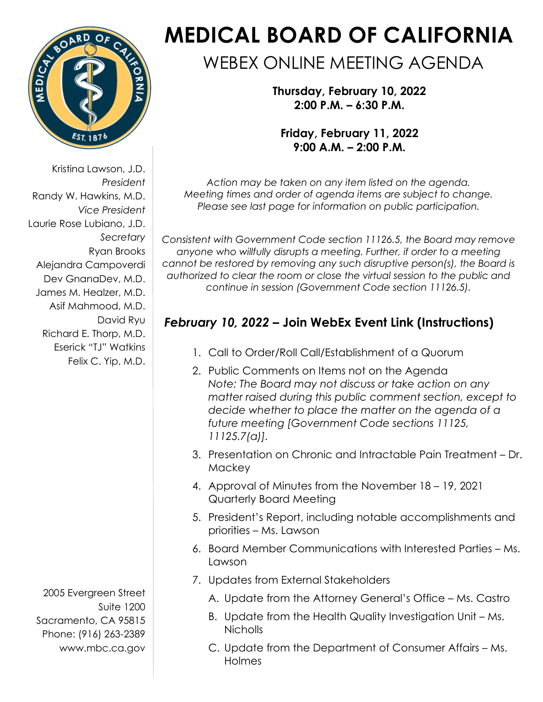

Kristina Lawson, J.D. *President* Randy W. Hawkins, M.D. *Vice President* Laurie Rose Lubiano, J.D. *Secretary* Ryan Brooks Alejandra Campoverdi Dev GnanaDev, M.D. James M. Healzer, M.D. Asif Mahmood, M.D. David Ryu Richard E. Thorp, M.D. Eserick "TJ" Watkins Felix C. Yip, M.D.

2005 Evergreen Street Suite 1200 Sacramento, CA 95815 Phone: (916) 263-2389 [www.mbc.ca.gov](http://www.mbc.ca.gov/)

# **MEDICAL BOARD OF CALIFORNIA**

# WEBEX ONLINE MEETING AGENDA

**Thursday, February 10, 2022 2:00 P.M. – 6:30 P.M.**

**Friday, February 11, 2022 9:00 A.M. – 2:00 P.M.**

*Action may be taken on any item listed on the agenda. Meeting times and order of agenda items are subject to change. Please see last page for information on public participation.*

*Consistent with Government Code section 11126.5, the Board may remove anyone who willfully disrupts a meeting. Further, if order to a meeting cannot be restored by removing any such disruptive person(s), the Board is authorized to clear the room or close the virtual session to the public and continue in session (Government Code section 11126.5).* 

# *February 10, 2022* **– [Join WebEx Event Link](https://dca-meetings.webex.com/dca-meetings/j.php?RGID=r7a41dcba1a49d9c254a17ba254084ba6) [\(Instructions\)](https://www.mbc.ca.gov/Download/User-Guides/HowToJoinAWebExEvent.pdf)**

- 1. Call to Order/Roll Call/Establishment of a Quorum
- 2. Public Comments on Items not on the Agenda *Note: The Board may not discuss or take action on any matter raised during this public comment section, except to decide whether to place the matter on the agenda of a future meeting [Government Code sections 11125, 11125.7(a)].*
- 3. Presentation on Chronic and Intractable Pain Treatment Dr. **Mackey**
- 4. Approval of Minutes from the November 18 19, 2021 Quarterly Board Meeting
- 5. President's Report, including notable accomplishments and priorities – Ms. Lawson
- 6. Board Member Communications with Interested Parties Ms. Lawson
- 7. Updates from External Stakeholders
	- A. Update from the Attorney General's Office Ms. Castro
	- B. Update from the Health Quality Investigation Unit Ms. Nicholls
	- C. Update from the Department of Consumer Affairs Ms. Holmes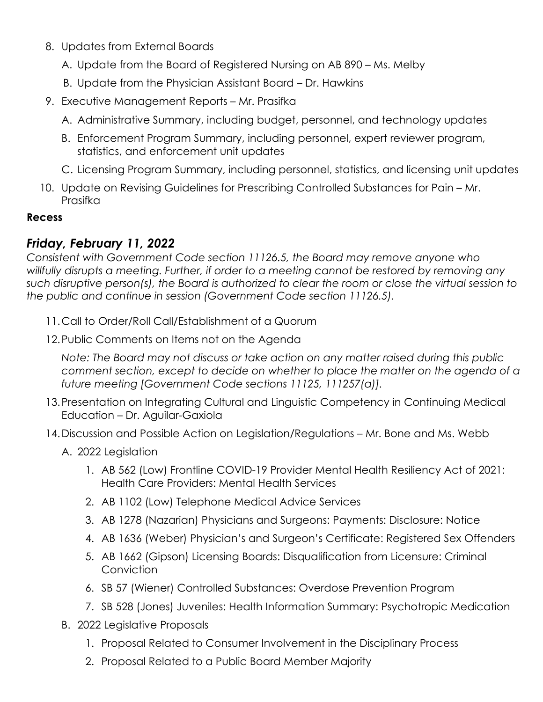- 8. Updates from External Boards
	- A. Update from the Board of Registered Nursing on AB 890 Ms. Melby
	- B. Update from the Physician Assistant Board Dr. Hawkins
- 9. Executive Management Reports Mr. Prasifka
	- A. Administrative Summary, including budget, personnel, and technology updates
	- B. Enforcement Program Summary, including personnel, expert reviewer program, statistics, and enforcement unit updates
	- C. Licensing Program Summary, including personnel, statistics, and licensing unit updates
- 10. Update on Revising Guidelines for Prescribing Controlled Substances for Pain Mr. Prasifka

#### **Recess**

### *Friday, February 11, 2022*

*Consistent with Government Code section 11126.5, the Board may remove anyone who willfully disrupts a meeting. Further, if order to a meeting cannot be restored by removing any such disruptive person(s), the Board is authorized to clear the room or close the virtual session to the public and continue in session (Government Code section 11126.5).* 

- 11.Call to Order/Roll Call/Establishment of a Quorum
- 12.Public Comments on Items not on the Agenda

*Note: The Board may not discuss or take action on any matter raised during this public comment section, except to decide on whether to place the matter on the agenda of a future meeting [Government Code sections 11125, 111257(a)].*

- 13.Presentation on Integrating Cultural and Linguistic Competency in Continuing Medical Education – Dr. Aguilar-Gaxiola
- 14.Discussion and Possible Action on Legislation/Regulations Mr. Bone and Ms. Webb
	- A. 2022 Legislation
		- 1. AB 562 (Low) Frontline COVID-19 Provider Mental Health Resiliency Act of 2021: Health Care Providers: Mental Health Services
		- 2. AB 1102 (Low) Telephone Medical Advice Services
		- 3. AB 1278 (Nazarian) Physicians and Surgeons: Payments: Disclosure: Notice
		- 4. AB 1636 (Weber) Physician's and Surgeon's Certificate: Registered Sex Offenders
		- 5. AB 1662 (Gipson) Licensing Boards: Disqualification from Licensure: Criminal **Conviction**
		- 6. SB 57 (Wiener) Controlled Substances: Overdose Prevention Program
		- 7. SB 528 (Jones) Juveniles: Health Information Summary: Psychotropic Medication
	- B. 2022 Legislative Proposals
		- 1. Proposal Related to Consumer Involvement in the Disciplinary Process
		- 2. Proposal Related to a Public Board Member Majority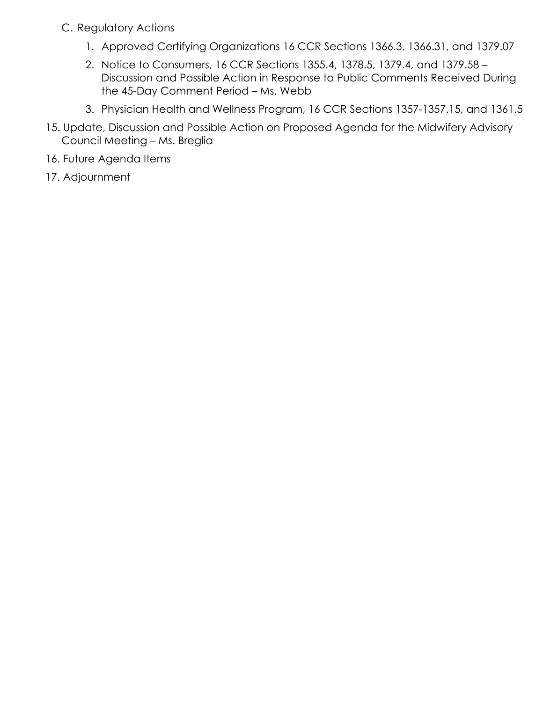- C. Regulatory Actions
	- 1. Approved Certifying Organizations 16 CCR Sections 1366.3, 1366.31, and 1379.07
	- 2. Notice to Consumers, 16 CCR Sections 1355.4, 1378.5, 1379.4, and 1379.58 Discussion and Possible Action in Response to Public Comments Received During the 45-Day Comment Period – Ms. Webb
	- 3. Physician Health and Wellness Program, 16 CCR Sections 1357-1357.15, and 1361.5
- 15. Update, Discussion and Possible Action on Proposed Agenda for the Midwifery Advisory Council Meeting – Ms. Breglia
- 16. Future Agenda Items
- 17. Adjournment